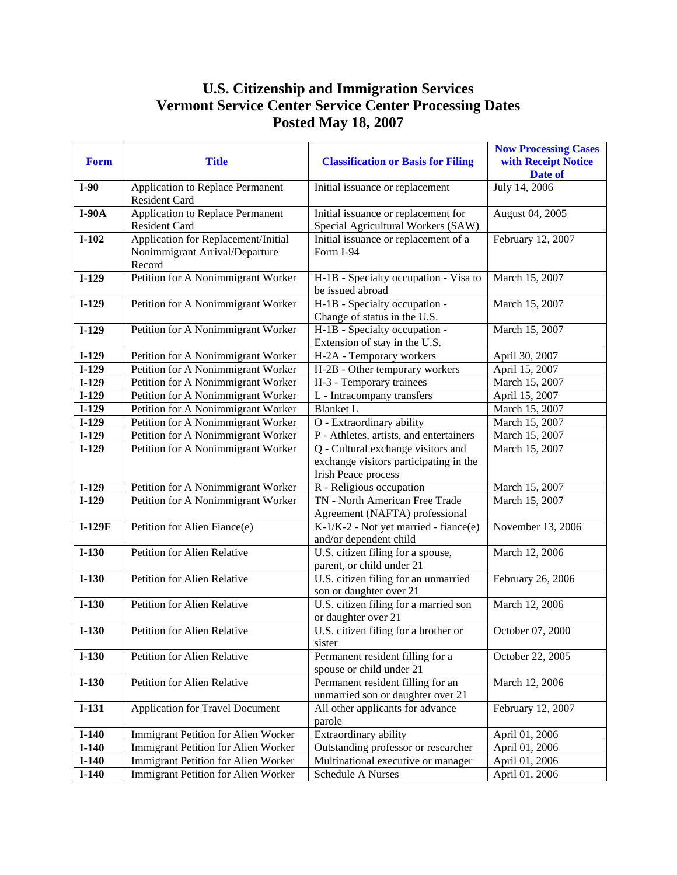## **U.S. Citizenship and Immigration Services Vermont Service Center Service Center Processing Dates Posted May 18, 2007**

| Form     | <b>Title</b>                               | <b>Classification or Basis for Filing</b>                                                                  | <b>Now Processing Cases</b><br>with Receipt Notice<br>Date of |
|----------|--------------------------------------------|------------------------------------------------------------------------------------------------------------|---------------------------------------------------------------|
| $I-90$   | Application to Replace Permanent           | Initial issuance or replacement                                                                            | July 14, 2006                                                 |
|          | Resident Card                              |                                                                                                            |                                                               |
| $I-90A$  | Application to Replace Permanent           | Initial issuance or replacement for                                                                        | August 04, 2005                                               |
|          | Resident Card                              | Special Agricultural Workers (SAW)                                                                         |                                                               |
| $I-102$  | Application for Replacement/Initial        | Initial issuance or replacement of a                                                                       | February 12, 2007                                             |
|          | Nonimmigrant Arrival/Departure<br>Record   | Form I-94                                                                                                  |                                                               |
| $I-129$  | Petition for A Nonimmigrant Worker         | H-1B - Specialty occupation - Visa to<br>be issued abroad                                                  | March 15, 2007                                                |
| $I-129$  | Petition for A Nonimmigrant Worker         | H-1B - Specialty occupation -<br>Change of status in the U.S.                                              | March 15, 2007                                                |
| $I-129$  | Petition for A Nonimmigrant Worker         | H-1B - Specialty occupation -<br>Extension of stay in the U.S.                                             | March 15, 2007                                                |
| $I-129$  | Petition for A Nonimmigrant Worker         | H-2A - Temporary workers                                                                                   | April 30, 2007                                                |
| $1-129$  | Petition for A Nonimmigrant Worker         | H-2B - Other temporary workers                                                                             | April 15, 2007                                                |
| $I-129$  | Petition for A Nonimmigrant Worker         | H-3 - Temporary trainees                                                                                   | March 15, 2007                                                |
| $I-129$  | Petition for A Nonimmigrant Worker         | L - Intracompany transfers                                                                                 | April 15, 2007                                                |
| $I-129$  | Petition for A Nonimmigrant Worker         | <b>Blanket L</b>                                                                                           | March 15, 2007                                                |
| $I-129$  | Petition for A Nonimmigrant Worker         | O - Extraordinary ability                                                                                  | March 15, 2007                                                |
| $I-129$  | Petition for A Nonimmigrant Worker         | P - Athletes, artists, and entertainers                                                                    | March 15, 2007                                                |
| $I-129$  | Petition for A Nonimmigrant Worker         | Q - Cultural exchange visitors and<br>exchange visitors participating in the<br><b>Irish Peace process</b> | March 15, 2007                                                |
| $I-129$  | Petition for A Nonimmigrant Worker         | R - Religious occupation                                                                                   | March 15, 2007                                                |
| $I-129$  | Petition for A Nonimmigrant Worker         | TN - North American Free Trade                                                                             | March 15, 2007                                                |
|          |                                            | Agreement (NAFTA) professional                                                                             |                                                               |
| $I-129F$ | Petition for Alien Fiance(e)               | K-1/K-2 - Not yet married - fiance(e)<br>and/or dependent child                                            | November 13, 2006                                             |
| $I-130$  | Petition for Alien Relative                | U.S. citizen filing for a spouse,<br>parent, or child under 21                                             | March 12, 2006                                                |
| $I-130$  | Petition for Alien Relative                | U.S. citizen filing for an unmarried<br>son or daughter over 21                                            | February 26, 2006                                             |
| $I-130$  | Petition for Alien Relative                | U.S. citizen filing for a married son<br>or daughter over 21                                               | March 12, 2006                                                |
| $I-130$  | Petition for Alien Relative                | U.S. citizen filing for a brother or<br>sister                                                             | October 07, 2000                                              |
| $I-130$  | Petition for Alien Relative                | Permanent resident filling for a<br>spouse or child under 21                                               | October 22, 2005                                              |
| $I-130$  | Petition for Alien Relative                | Permanent resident filling for an<br>unmarried son or daughter over 21                                     | March 12, 2006                                                |
| $I-131$  | <b>Application for Travel Document</b>     | All other applicants for advance<br>parole                                                                 | February 12, 2007                                             |
| $I-140$  | Immigrant Petition for Alien Worker        | Extraordinary ability                                                                                      | April 01, 2006                                                |
| $I-140$  | <b>Immigrant Petition for Alien Worker</b> | Outstanding professor or researcher                                                                        | April 01, 2006                                                |
| $I-140$  | Immigrant Petition for Alien Worker        | Multinational executive or manager                                                                         | April 01, 2006                                                |
| $I-140$  | Immigrant Petition for Alien Worker        | Schedule A Nurses                                                                                          | April 01, 2006                                                |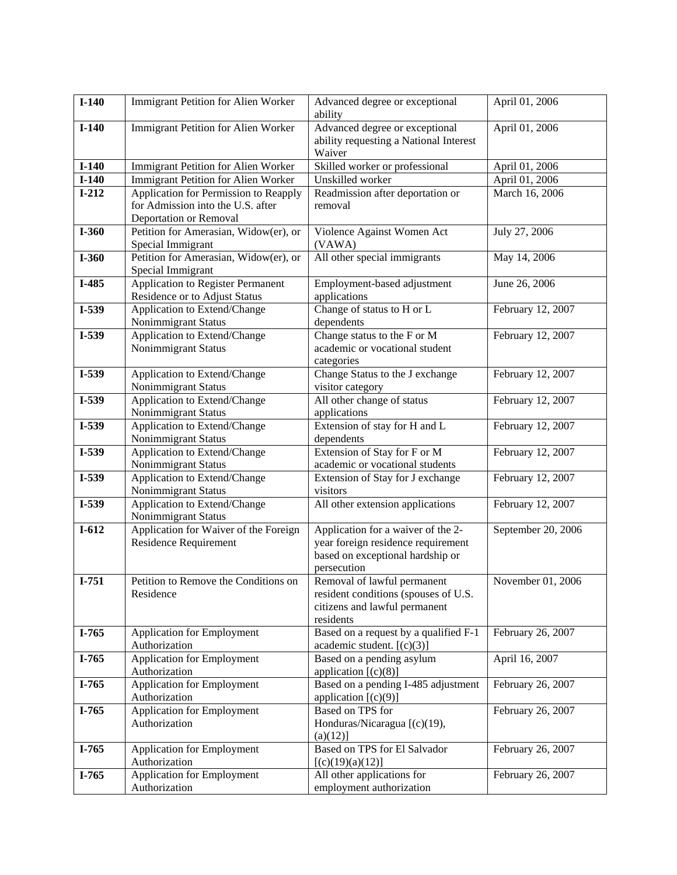| $I-140$            | <b>Immigrant Petition for Alien Worker</b>                                 | Advanced degree or exceptional                                      | April 01, 2006                   |
|--------------------|----------------------------------------------------------------------------|---------------------------------------------------------------------|----------------------------------|
|                    |                                                                            | ability                                                             |                                  |
| $I-140$            | Immigrant Petition for Alien Worker                                        | Advanced degree or exceptional                                      | April 01, 2006                   |
|                    |                                                                            | ability requesting a National Interest                              |                                  |
|                    |                                                                            | Waiver                                                              |                                  |
| $I-140$<br>$I-140$ | <b>Immigrant Petition for Alien Worker</b>                                 | Skilled worker or professional                                      | April 01, 2006                   |
| $I-212$            | <b>Immigrant Petition for Alien Worker</b>                                 | Unskilled worker                                                    | April 01, 2006<br>March 16, 2006 |
|                    | Application for Permission to Reapply<br>for Admission into the U.S. after | Readmission after deportation or<br>removal                         |                                  |
|                    | Deportation or Removal                                                     |                                                                     |                                  |
| $I-360$            | Petition for Amerasian, Widow(er), or                                      | Violence Against Women Act                                          | July 27, 2006                    |
|                    | Special Immigrant                                                          | (VAWA)                                                              |                                  |
| $I-360$            | Petition for Amerasian, Widow(er), or                                      | All other special immigrants                                        | May 14, 2006                     |
|                    | Special Immigrant                                                          |                                                                     |                                  |
| I-485              | Application to Register Permanent                                          | Employment-based adjustment                                         | June 26, 2006                    |
|                    | Residence or to Adjust Status                                              | applications                                                        |                                  |
| I-539              | Application to Extend/Change                                               | Change of status to H or L                                          | February 12, 2007                |
|                    | Nonimmigrant Status                                                        | dependents                                                          |                                  |
| I-539              | Application to Extend/Change                                               | Change status to the F or M                                         | February 12, 2007                |
|                    | Nonimmigrant Status                                                        | academic or vocational student                                      |                                  |
|                    |                                                                            | categories                                                          |                                  |
| I-539              | Application to Extend/Change                                               | Change Status to the J exchange                                     | February 12, 2007                |
|                    | Nonimmigrant Status                                                        | visitor category                                                    |                                  |
| I-539              | Application to Extend/Change                                               | All other change of status                                          | February 12, 2007                |
| I-539              | Nonimmigrant Status<br>Application to Extend/Change                        | applications                                                        |                                  |
|                    | Nonimmigrant Status                                                        | Extension of stay for H and L<br>dependents                         | February 12, 2007                |
| I-539              | Application to Extend/Change                                               | Extension of Stay for F or M                                        | February 12, 2007                |
|                    | Nonimmigrant Status                                                        | academic or vocational students                                     |                                  |
| I-539              | Application to Extend/Change                                               | Extension of Stay for J exchange                                    | February 12, 2007                |
|                    | Nonimmigrant Status                                                        | visitors                                                            |                                  |
| I-539              | Application to Extend/Change                                               | All other extension applications                                    | February 12, 2007                |
|                    | Nonimmigrant Status                                                        |                                                                     |                                  |
| $I-612$            | Application for Waiver of the Foreign                                      | Application for a waiver of the 2-                                  | September 20, 2006               |
|                    | <b>Residence Requirement</b>                                               | year foreign residence requirement                                  |                                  |
|                    |                                                                            | based on exceptional hardship or                                    |                                  |
|                    |                                                                            | persecution                                                         |                                  |
| $I-751$            | Petition to Remove the Conditions on<br>Residence                          | Removal of lawful permanent<br>resident conditions (spouses of U.S. | November 01, 2006                |
|                    |                                                                            | citizens and lawful permanent                                       |                                  |
|                    |                                                                            | residents                                                           |                                  |
| I-765              | Application for Employment                                                 | Based on a request by a qualified F-1                               | February 26, 2007                |
|                    | Authorization                                                              | academic student. [(c)(3)]                                          |                                  |
| $I-765$            | Application for Employment                                                 | Based on a pending asylum                                           | April 16, 2007                   |
|                    | Authorization                                                              | application $[(c)(8)]$                                              |                                  |
| $I-765$            | Application for Employment                                                 | Based on a pending I-485 adjustment                                 | February 26, 2007                |
|                    | Authorization                                                              | application $[(c)(9)]$                                              |                                  |
| $I-765$            | Application for Employment                                                 | Based on TPS for                                                    | February 26, 2007                |
|                    | Authorization                                                              | Honduras/Nicaragua [(c)(19),                                        |                                  |
|                    |                                                                            | (a)(12)]                                                            |                                  |
| $I-765$            | Application for Employment<br>Authorization                                | Based on TPS for El Salvador                                        | February 26, 2007                |
| $I-765$            | Application for Employment                                                 | [(c)(19)(a)(12)]<br>All other applications for                      | February 26, 2007                |
|                    | Authorization                                                              | employment authorization                                            |                                  |
|                    |                                                                            |                                                                     |                                  |